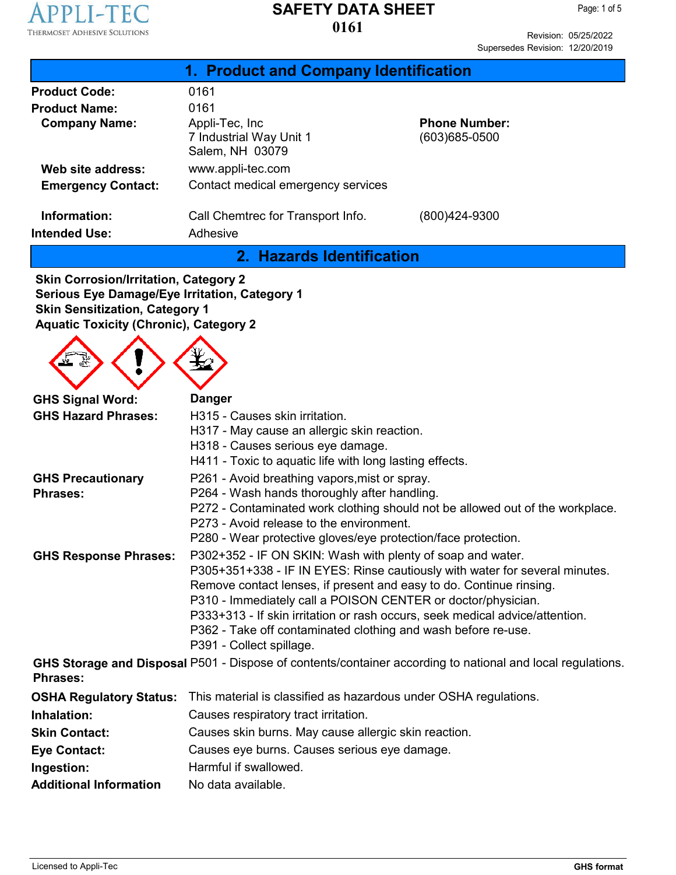

Page: 1 of 5

Revision: 05/25/2022 Supersedes Revision: 12/20/2019

| 1. Product and Company Identification |                                                               |                                           |  |  |
|---------------------------------------|---------------------------------------------------------------|-------------------------------------------|--|--|
| <b>Product Code:</b>                  | 0161                                                          |                                           |  |  |
| <b>Product Name:</b>                  | 0161                                                          |                                           |  |  |
| <b>Company Name:</b>                  | Appli-Tec, Inc.<br>7 Industrial Way Unit 1<br>Salem, NH 03079 | <b>Phone Number:</b><br>$(603)685 - 0500$ |  |  |
| Web site address:                     | www.appli-tec.com                                             |                                           |  |  |
| <b>Emergency Contact:</b>             | Contact medical emergency services                            |                                           |  |  |
| Information:<br><b>Intended Use:</b>  | Call Chemtrec for Transport Info.<br>Adhesive                 | (800)424-9300                             |  |  |

**2. Hazards Identification**

**Skin Corrosion/Irritation, Category 2 Serious Eye Damage/Eye Irritation, Category 1 Skin Sensitization, Category 1 Aquatic Toxicity (Chronic), Category 2**

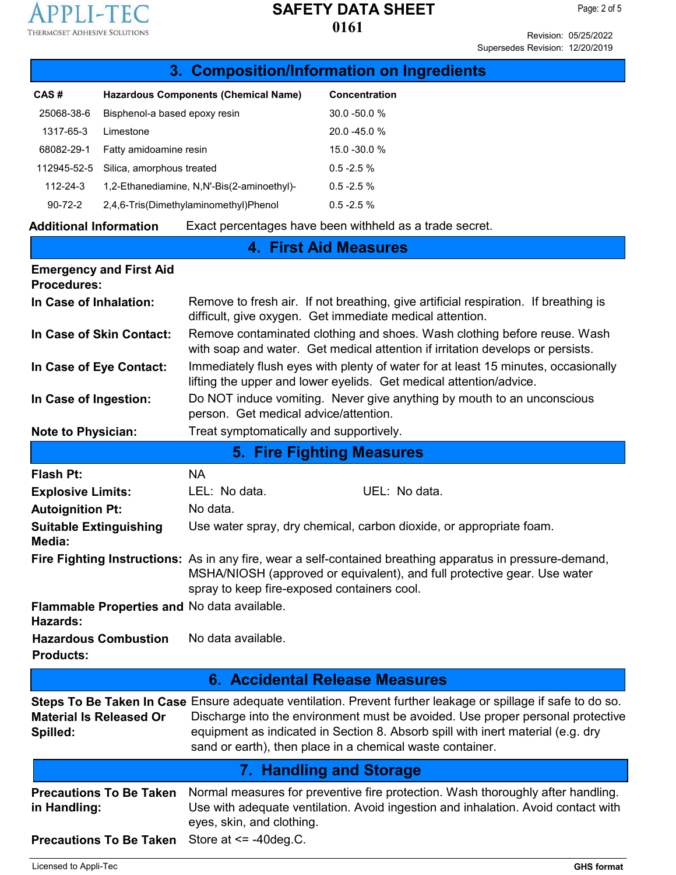

Revision: 05/25/2022 Supersedes Revision: 12/20/2019

| 3. Composition/Information on Ingredients            |                               |                                                                                                                                                                                                                                                                                                                                                |                                                                                                                                                                      |  |
|------------------------------------------------------|-------------------------------|------------------------------------------------------------------------------------------------------------------------------------------------------------------------------------------------------------------------------------------------------------------------------------------------------------------------------------------------|----------------------------------------------------------------------------------------------------------------------------------------------------------------------|--|
| CAS#                                                 |                               | <b>Hazardous Components (Chemical Name)</b>                                                                                                                                                                                                                                                                                                    | <b>Concentration</b>                                                                                                                                                 |  |
| 25068-38-6                                           | Bisphenol-a based epoxy resin |                                                                                                                                                                                                                                                                                                                                                | 30.0 -50.0 %                                                                                                                                                         |  |
| 1317-65-3                                            | Limestone                     |                                                                                                                                                                                                                                                                                                                                                | 20.0 -45.0 %                                                                                                                                                         |  |
| 68082-29-1                                           | Fatty amidoamine resin        |                                                                                                                                                                                                                                                                                                                                                | 15.0 - 30.0 %                                                                                                                                                        |  |
| 112945-52-5                                          | Silica, amorphous treated     |                                                                                                                                                                                                                                                                                                                                                | $0.5 - 2.5 %$                                                                                                                                                        |  |
| $112 - 24 - 3$                                       |                               | 1,2-Ethanediamine, N,N'-Bis(2-aminoethyl)-                                                                                                                                                                                                                                                                                                     | $0.5 - 2.5 %$                                                                                                                                                        |  |
| $90 - 72 - 2$                                        |                               | 2,4,6-Tris(Dimethylaminomethyl)Phenol                                                                                                                                                                                                                                                                                                          | $0.5 - 2.5 %$                                                                                                                                                        |  |
| <b>Additional Information</b>                        |                               |                                                                                                                                                                                                                                                                                                                                                | Exact percentages have been withheld as a trade secret.                                                                                                              |  |
|                                                      |                               |                                                                                                                                                                                                                                                                                                                                                | <b>4. First Aid Measures</b>                                                                                                                                         |  |
| <b>Emergency and First Aid</b><br><b>Procedures:</b> |                               |                                                                                                                                                                                                                                                                                                                                                |                                                                                                                                                                      |  |
| In Case of Inhalation:                               |                               | Remove to fresh air. If not breathing, give artificial respiration. If breathing is<br>difficult, give oxygen. Get immediate medical attention.                                                                                                                                                                                                |                                                                                                                                                                      |  |
| In Case of Skin Contact:                             |                               | Remove contaminated clothing and shoes. Wash clothing before reuse. Wash<br>with soap and water. Get medical attention if irritation develops or persists.                                                                                                                                                                                     |                                                                                                                                                                      |  |
| In Case of Eye Contact:                              |                               | Immediately flush eyes with plenty of water for at least 15 minutes, occasionally<br>lifting the upper and lower eyelids. Get medical attention/advice.                                                                                                                                                                                        |                                                                                                                                                                      |  |
| In Case of Ingestion:                                |                               | Do NOT induce vomiting. Never give anything by mouth to an unconscious<br>person. Get medical advice/attention.                                                                                                                                                                                                                                |                                                                                                                                                                      |  |
| <b>Note to Physician:</b>                            |                               | Treat symptomatically and supportively.                                                                                                                                                                                                                                                                                                        |                                                                                                                                                                      |  |
|                                                      |                               |                                                                                                                                                                                                                                                                                                                                                | <b>5. Fire Fighting Measures</b>                                                                                                                                     |  |
| <b>Flash Pt:</b>                                     |                               | <b>NA</b>                                                                                                                                                                                                                                                                                                                                      |                                                                                                                                                                      |  |
| <b>Explosive Limits:</b>                             |                               | LEL: No data.                                                                                                                                                                                                                                                                                                                                  | UEL: No data.                                                                                                                                                        |  |
| <b>Autoignition Pt:</b>                              |                               | No data.                                                                                                                                                                                                                                                                                                                                       |                                                                                                                                                                      |  |
| <b>Suitable Extinguishing</b><br>Media:              |                               | Use water spray, dry chemical, carbon dioxide, or appropriate foam.                                                                                                                                                                                                                                                                            |                                                                                                                                                                      |  |
|                                                      |                               | Fire Fighting Instructions: As in any fire, wear a self-contained breathing apparatus in pressure-demand,<br>MSHA/NIOSH (approved or equivalent), and full protective gear. Use water<br>spray to keep fire-exposed containers cool.                                                                                                           |                                                                                                                                                                      |  |
| Hazards:                                             |                               | Flammable Properties and No data available.                                                                                                                                                                                                                                                                                                    |                                                                                                                                                                      |  |
| <b>Hazardous Combustion</b><br><b>Products:</b>      |                               | No data available.                                                                                                                                                                                                                                                                                                                             |                                                                                                                                                                      |  |
| 6. Accidental Release Measures                       |                               |                                                                                                                                                                                                                                                                                                                                                |                                                                                                                                                                      |  |
| <b>Material Is Released Or</b><br>Spilled:           |                               | Steps To Be Taken In Case Ensure adequate ventilation. Prevent further leakage or spillage if safe to do so.<br>Discharge into the environment must be avoided. Use proper personal protective<br>equipment as indicated in Section 8. Absorb spill with inert material (e.g. dry<br>sand or earth), then place in a chemical waste container. |                                                                                                                                                                      |  |
|                                                      |                               |                                                                                                                                                                                                                                                                                                                                                | <b>7. Handling and Storage</b>                                                                                                                                       |  |
| <b>Precautions To Be Taken</b><br>in Handling:       |                               | eyes, skin, and clothing.                                                                                                                                                                                                                                                                                                                      | Normal measures for preventive fire protection. Wash thoroughly after handling.<br>Use with adequate ventilation. Avoid ingestion and inhalation. Avoid contact with |  |
| <b>Precautions To Be Taken</b>                       |                               | Store at $\le$ -40 deg. C.                                                                                                                                                                                                                                                                                                                     |                                                                                                                                                                      |  |
| Licensed to Appli-Tec                                |                               |                                                                                                                                                                                                                                                                                                                                                | <b>GHS format</b>                                                                                                                                                    |  |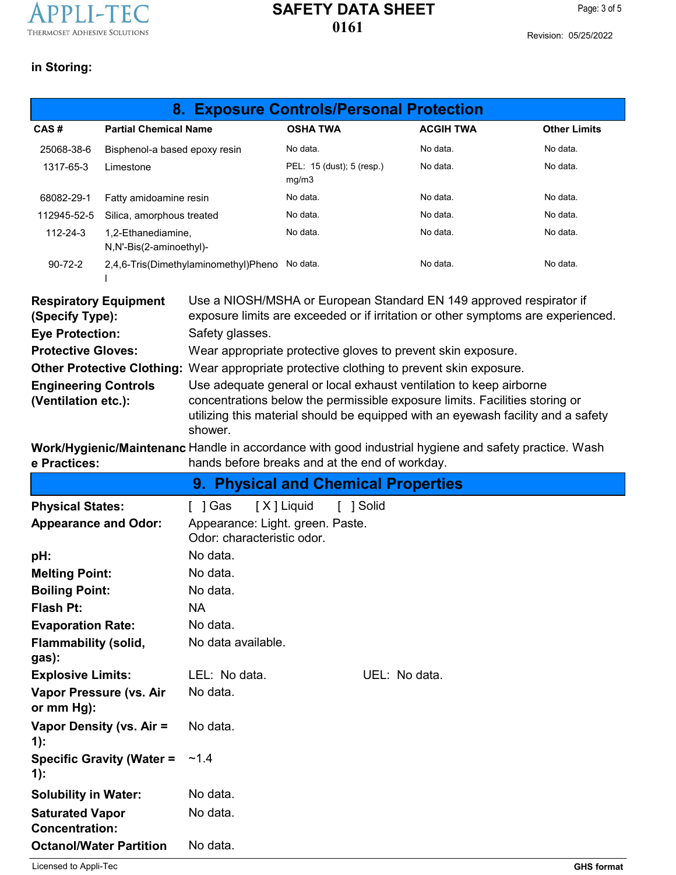

Revision: 05/25/2022

## **in Storing:**

|                                                    |                                               | 8. Exposure Controls/Personal Protection                                                                                                                                                                                                         |                                    |               |                  |                                                                                                      |
|----------------------------------------------------|-----------------------------------------------|--------------------------------------------------------------------------------------------------------------------------------------------------------------------------------------------------------------------------------------------------|------------------------------------|---------------|------------------|------------------------------------------------------------------------------------------------------|
| CAS#                                               | <b>Partial Chemical Name</b>                  |                                                                                                                                                                                                                                                  | <b>OSHA TWA</b>                    |               | <b>ACGIH TWA</b> | <b>Other Limits</b>                                                                                  |
| 25068-38-6                                         | Bisphenol-a based epoxy resin                 |                                                                                                                                                                                                                                                  | No data.                           |               | No data.         | No data.                                                                                             |
| 1317-65-3                                          | Limestone                                     |                                                                                                                                                                                                                                                  | PEL: 15 (dust); 5 (resp.)<br>mg/m3 |               | No data.         | No data.                                                                                             |
| 68082-29-1                                         | Fatty amidoamine resin                        |                                                                                                                                                                                                                                                  | No data.                           |               | No data.         | No data.                                                                                             |
| 112945-52-5                                        | Silica, amorphous treated                     |                                                                                                                                                                                                                                                  | No data.                           |               | No data.         | No data.                                                                                             |
| 112-24-3                                           | 1,2-Ethanediamine,<br>N,N'-Bis(2-aminoethyl)- |                                                                                                                                                                                                                                                  | No data.                           |               | No data.         | No data.                                                                                             |
| $90 - 72 - 2$                                      | 2,4,6-Tris(Dimethylaminomethyl)Pheno No data. |                                                                                                                                                                                                                                                  |                                    |               | No data.         | No data.                                                                                             |
| <b>Respiratory Equipment</b><br>(Specify Type):    |                                               | Use a NIOSH/MSHA or European Standard EN 149 approved respirator if<br>exposure limits are exceeded or if irritation or other symptoms are experienced.                                                                                          |                                    |               |                  |                                                                                                      |
| <b>Eye Protection:</b>                             |                                               | Safety glasses.                                                                                                                                                                                                                                  |                                    |               |                  |                                                                                                      |
| <b>Protective Gloves:</b>                          |                                               | Wear appropriate protective gloves to prevent skin exposure.                                                                                                                                                                                     |                                    |               |                  |                                                                                                      |
|                                                    |                                               | Other Protective Clothing: Wear appropriate protective clothing to prevent skin exposure.                                                                                                                                                        |                                    |               |                  |                                                                                                      |
| <b>Engineering Controls</b><br>(Ventilation etc.): |                                               | Use adequate general or local exhaust ventilation to keep airborne<br>concentrations below the permissible exposure limits. Facilities storing or<br>utilizing this material should be equipped with an eyewash facility and a safety<br>shower. |                                    |               |                  |                                                                                                      |
| e Practices:                                       |                                               | hands before breaks and at the end of workday.                                                                                                                                                                                                   |                                    |               |                  | Work/Hygienic/Maintenanc Handle in accordance with good industrial hygiene and safety practice. Wash |
|                                                    |                                               | 9. Physical and Chemical Properties                                                                                                                                                                                                              |                                    |               |                  |                                                                                                      |
| <b>Physical States:</b>                            |                                               | $\lceil$   Gas                                                                                                                                                                                                                                   | [X] Liquid<br>[ ] Solid            |               |                  |                                                                                                      |
| <b>Appearance and Odor:</b>                        |                                               | Appearance: Light. green. Paste.<br>Odor: characteristic odor.                                                                                                                                                                                   |                                    |               |                  |                                                                                                      |
| pH:                                                |                                               | No data.                                                                                                                                                                                                                                         |                                    |               |                  |                                                                                                      |
| <b>Melting Point:</b>                              |                                               | No data.                                                                                                                                                                                                                                         |                                    |               |                  |                                                                                                      |
| <b>Boiling Point:</b>                              |                                               | No data.                                                                                                                                                                                                                                         |                                    |               |                  |                                                                                                      |
| <b>Flash Pt:</b>                                   |                                               | <b>NA</b>                                                                                                                                                                                                                                        |                                    |               |                  |                                                                                                      |
| <b>Evaporation Rate:</b>                           |                                               | No data.                                                                                                                                                                                                                                         |                                    |               |                  |                                                                                                      |
| <b>Flammability (solid,</b><br>gas):               |                                               | No data available.                                                                                                                                                                                                                               |                                    |               |                  |                                                                                                      |
| <b>Explosive Limits:</b>                           |                                               | LEL: No data.                                                                                                                                                                                                                                    |                                    | UEL: No data. |                  |                                                                                                      |
| Vapor Pressure (vs. Air<br>or mm Hg):              |                                               | No data.                                                                                                                                                                                                                                         |                                    |               |                  |                                                                                                      |
| Vapor Density (vs. Air =<br>$1)$ :                 |                                               | No data.                                                                                                                                                                                                                                         |                                    |               |                  |                                                                                                      |
| 1):                                                | <b>Specific Gravity (Water =</b>              | ~1.4                                                                                                                                                                                                                                             |                                    |               |                  |                                                                                                      |
| <b>Solubility in Water:</b>                        |                                               | No data.                                                                                                                                                                                                                                         |                                    |               |                  |                                                                                                      |
| <b>Saturated Vapor</b><br><b>Concentration:</b>    |                                               | No data.                                                                                                                                                                                                                                         |                                    |               |                  |                                                                                                      |
| <b>Octanol/Water Partition</b>                     |                                               | No data.                                                                                                                                                                                                                                         |                                    |               |                  |                                                                                                      |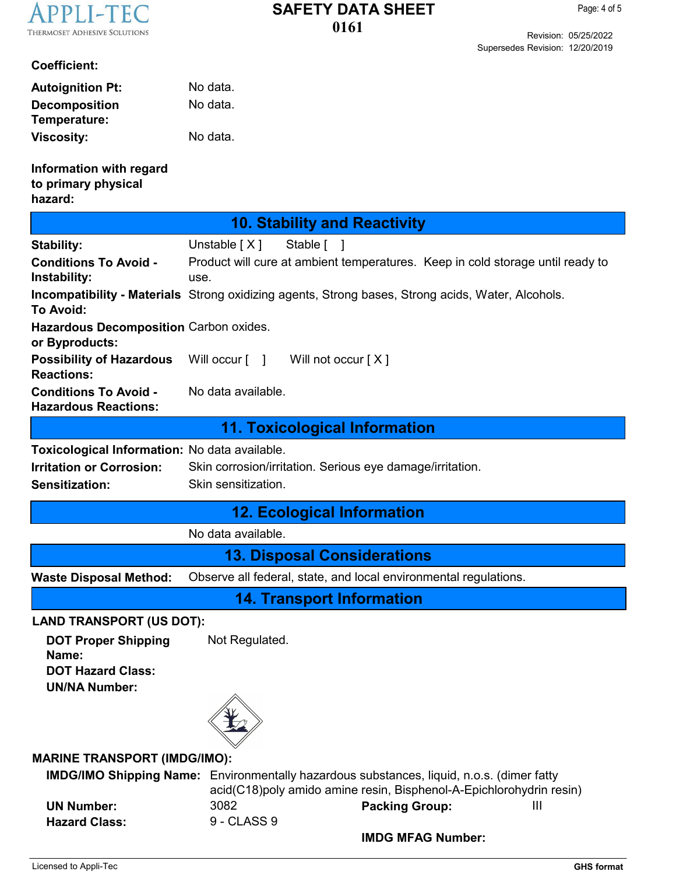

Revision: 05/25/2022 Supersedes Revision: 12/20/2019

#### **Coefficient:**

| <b>Autoignition Pt:</b> | No data. |
|-------------------------|----------|
| <b>Decomposition</b>    | No data. |
| Temperature:            |          |
| <b>Viscosity:</b>       | No data. |

**Information with regard to primary physical hazard:**

| 10. Stability and Reactivity                             |                                                                                                          |  |  |
|----------------------------------------------------------|----------------------------------------------------------------------------------------------------------|--|--|
| <b>Stability:</b>                                        | Unstable [X]<br>Stable [                                                                                 |  |  |
| <b>Conditions To Avoid -</b><br>Instability:             | Product will cure at ambient temperatures. Keep in cold storage until ready to<br>use.                   |  |  |
| <b>To Avoid:</b>                                         | <b>Incompatibility - Materials</b> Strong oxidizing agents, Strong bases, Strong acids, Water, Alcohols. |  |  |
| Hazardous Decomposition Carbon oxides.<br>or Byproducts: |                                                                                                          |  |  |
| <b>Possibility of Hazardous</b><br><b>Reactions:</b>     | Will occur $\lceil \quad \rceil$<br>Will not occur $[X]$                                                 |  |  |

**Conditions To Avoid -** No data available.

**Hazardous Reactions:**

### **11. Toxicological Information**

**Toxicological Information:** No data available. **Irritation or Corrosion: Sensitization:** Skin corrosion/irritation. Serious eye damage/irritation. Skin sensitization.

### **12. Ecological Information**

No data available.

**13. Disposal Considerations**

**Waste Disposal Method:** Observe all federal, state, and local environmental regulations.

**14. Transport Information**

#### **LAND TRANSPORT (US DOT):**

**DOT Proper Shipping** Not Regulated. **Name: DOT Hazard Class: UN/NA Number:**



#### **MARINE TRANSPORT (IMDG/IMO):**

**IMDG/IMO Shipping Name:** Environmentally hazardous substances, liquid, n.o.s. (dimer fatty **UN Number:** 3082 **Packing Group: Hazard Class:** 9 - CLASS 9 acid(C18)poly amido amine resin, Bisphenol-A-Epichlorohydrin resin) III

**IMDG MFAG Number:**